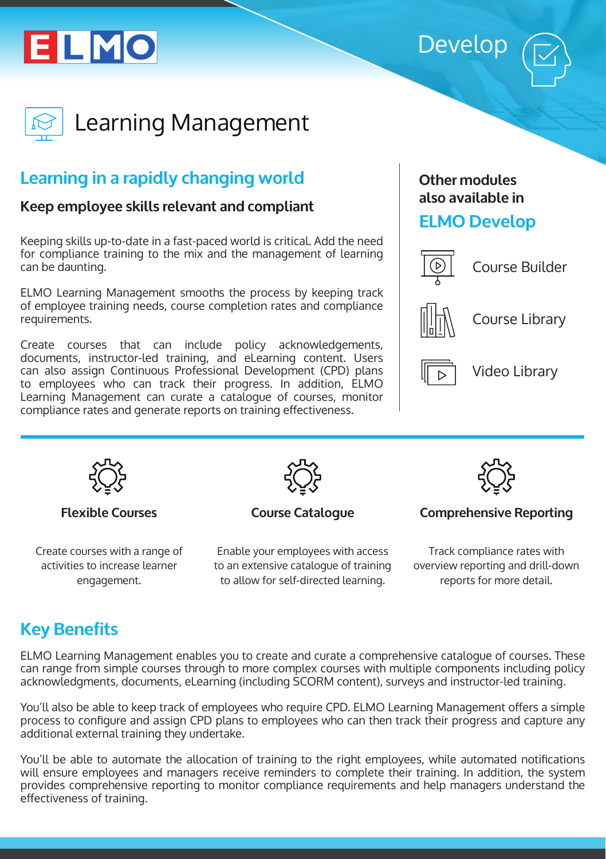# ELMO





Learning Management

# **Learning in a rapidly changing world**

#### **Keep employee skills relevant and compliant**

Keeping skills up-to-date in a fast-paced world is critical. Add the need for compliance training to the mix and the management of learning can be daunting.

ELMO Learning Management smooths the process by keeping track of employee training needs, course completion rates and compliance requirements.

Create courses that can include policy acknowledgements, documents, instructor-led training, and eLearning content. Users can also assign Continuous Professional Development (CPD) plans to employees who can track their progress. In addition, ELMO Learning Management can curate a catalogue of courses, monitor compliance rates and generate reports on training effectiveness.

#### **Other modules also available in**

## **ELMO Develop**



Course Builder



Course Library



Video Library



```
Flexible Courses
```
Create courses with a range of activities to increase learner engagement.



**Course Catalogue**

Enable your employees with access to an extensive catalogue of training to allow for self-directed learning.



#### **Comprehensive Reporting**

Track compliance rates with overview reporting and drill-down reports for more detail.

# **Key Benefits**

ELMO Learning Management enables you to create and curate a comprehensive catalogue of courses. These can range from simple courses through to more complex courses with multiple components including policy acknowledgments, documents, eLearning (including SCORM content), surveys and instructor-led training.

You'll also be able to keep track of employees who require CPD. ELMO Learning Management offers a simple process to configure and assign CPD plans to employees who can then track their progress and capture any additional external training they undertake.

You'll be able to automate the allocation of training to the right employees, while automated notifications will ensure employees and managers receive reminders to complete their training. In addition, the system provides comprehensive reporting to monitor compliance requirements and help managers understand the effectiveness of training.